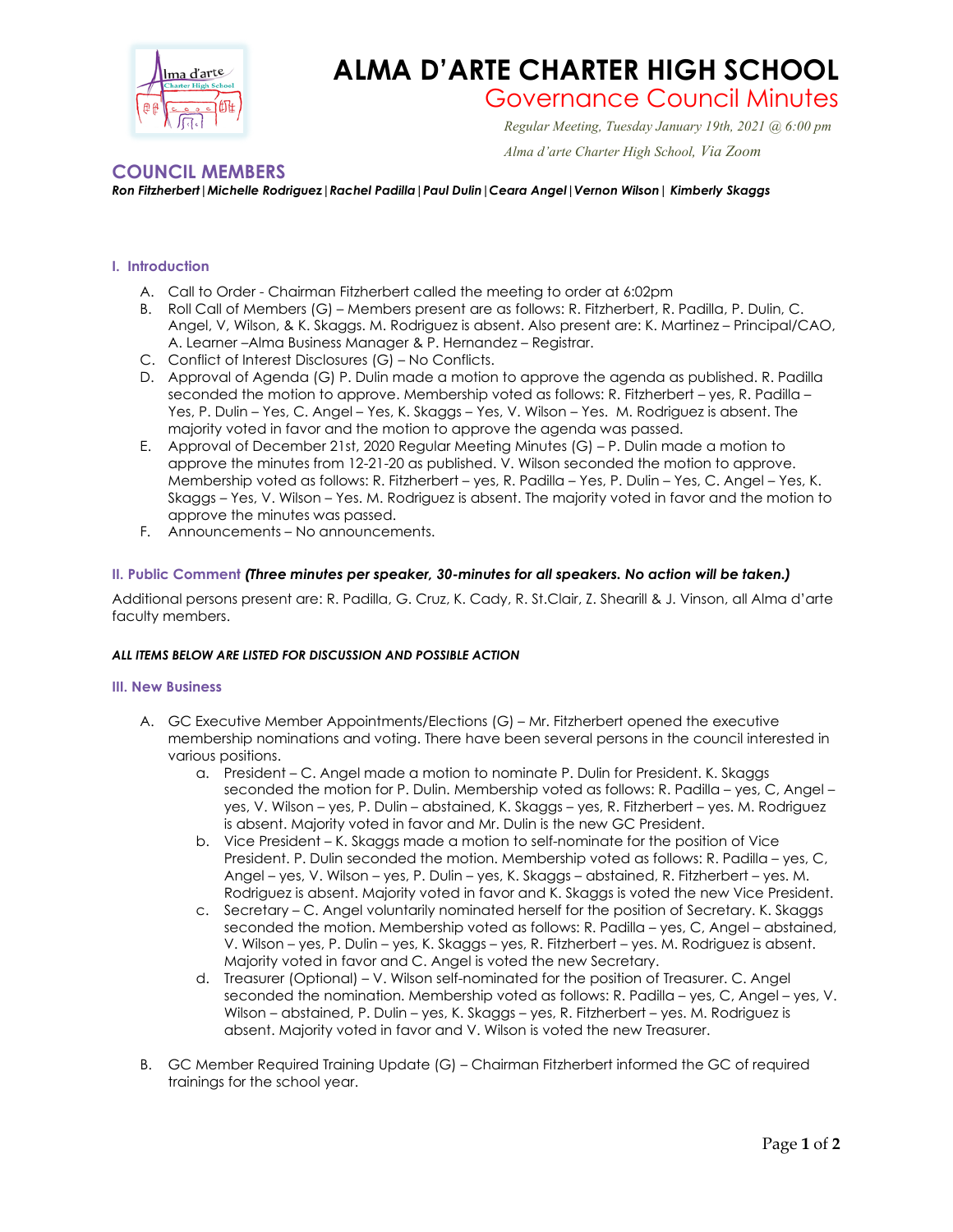

## **ALMA D'ARTE CHARTER HIGH SCHOOL**

# Governance Council Minutes *Regular Meeting, Tuesday January 19th, 2021 @ 6:00 pm*

#### *Alma d'arte Charter High School, Via Zoom*

### **COUNCIL MEMBERS**

*Ron Fitzherbert|Michelle Rodriguez|Rachel Padilla|Paul Dulin|Ceara Angel|Vernon Wilson| Kimberly Skaggs*

#### **I. Introduction**

- A. Call to Order Chairman Fitzherbert called the meeting to order at 6:02pm
- B. Roll Call of Members (G) Members present are as follows: R. Fitzherbert, R. Padilla, P. Dulin, C. Angel, V, Wilson, & K. Skaggs. M. Rodriguez is absent. Also present are: K. Martinez – Principal/CAO, A. Learner –Alma Business Manager & P. Hernandez – Registrar.
- C. Conflict of Interest Disclosures (G) No Conflicts.
- D. Approval of Agenda (G) P. Dulin made a motion to approve the agenda as published. R. Padilla seconded the motion to approve. Membership voted as follows: R. Fitzherbert – yes, R. Padilla – Yes, P. Dulin – Yes, C. Angel – Yes, K. Skaggs – Yes, V. Wilson – Yes. M. Rodriguez is absent. The majority voted in favor and the motion to approve the agenda was passed.
- E. Approval of December 21st, 2020 Regular Meeting Minutes (G) P. Dulin made a motion to approve the minutes from 12-21-20 as published. V. Wilson seconded the motion to approve. Membership voted as follows: R. Fitzherbert – yes, R. Padilla – Yes, P. Dulin – Yes, C. Angel – Yes, K. Skaggs – Yes, V. Wilson – Yes. M. Rodriguez is absent. The majority voted in favor and the motion to approve the minutes was passed.
- F. Announcements No announcements.

#### **II. Public Comment** *(Three minutes per speaker, 30-minutes for all speakers. No action will be taken.)*

Additional persons present are: R. Padilla, G. Cruz, K. Cady, R. St.Clair, Z. Shearill & J. Vinson, all Alma d'arte faculty members.

#### *ALL ITEMS BELOW ARE LISTED FOR DISCUSSION AND POSSIBLE ACTION*

#### **III. New Business**

- A. GC Executive Member Appointments/Elections (G) Mr. Fitzherbert opened the executive membership nominations and voting. There have been several persons in the council interested in various positions.
	- a. President C. Angel made a motion to nominate P. Dulin for President. K. Skaggs seconded the motion for P. Dulin. Membership voted as follows: R. Padilla – yes, C, Angel – yes, V. Wilson – yes, P. Dulin – abstained, K. Skaggs – yes, R. Fitzherbert – yes. M. Rodriguez is absent. Majority voted in favor and Mr. Dulin is the new GC President.
	- b. Vice President K. Skaggs made a motion to self-nominate for the position of Vice President. P. Dulin seconded the motion. Membership voted as follows: R. Padilla – yes, C, Angel – yes, V. Wilson – yes, P. Dulin – yes, K. Skaggs – abstained, R. Fitzherbert – yes. M. Rodriguez is absent. Majority voted in favor and K. Skaggs is voted the new Vice President.
	- c. Secretary C. Angel voluntarily nominated herself for the position of Secretary. K. Skaggs seconded the motion. Membership voted as follows: R. Padilla – yes, C, Angel – abstained, V. Wilson – yes, P. Dulin – yes, K. Skaggs – yes, R. Fitzherbert – yes. M. Rodriguez is absent. Majority voted in favor and C. Angel is voted the new Secretary.
	- d. Treasurer (Optional) V. Wilson self-nominated for the position of Treasurer. C. Angel seconded the nomination. Membership voted as follows: R. Padilla – yes, C, Angel – yes, V. Wilson – abstained, P. Dulin – yes, K. Skaggs – yes, R. Fitzherbert – yes. M. Rodriguez is absent. Majority voted in favor and V. Wilson is voted the new Treasurer.
- B. GC Member Required Training Update (G) Chairman Fitzherbert informed the GC of required trainings for the school year.